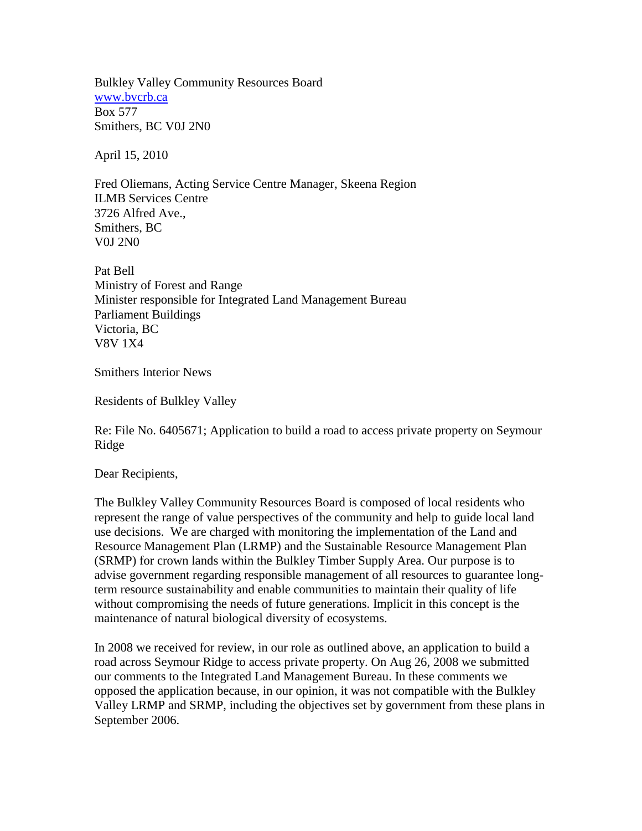Bulkley Valley Community Resources Board [www.bvcrb.ca](http://www.bvcrb.ca/) Box 577 Smithers, BC V0J 2N0

April 15, 2010

Fred Oliemans, Acting Service Centre Manager, Skeena Region ILMB Services Centre 3726 Alfred Ave., Smithers, BC V0J 2N0

Pat Bell Ministry of Forest and Range Minister responsible for Integrated Land Management Bureau Parliament Buildings Victoria, BC V8V 1X4

Smithers Interior News

Residents of Bulkley Valley

Re: File No. 6405671; Application to build a road to access private property on Seymour Ridge

Dear Recipients,

The Bulkley Valley Community Resources Board is composed of local residents who represent the range of value perspectives of the community and help to guide local land use decisions. We are charged with monitoring the implementation of the Land and Resource Management Plan (LRMP) and the Sustainable Resource Management Plan (SRMP) for crown lands within the Bulkley Timber Supply Area. Our purpose is to advise government regarding responsible management of all resources to guarantee longterm resource sustainability and enable communities to maintain their quality of life without compromising the needs of future generations. Implicit in this concept is the maintenance of natural biological diversity of ecosystems.

In 2008 we received for review, in our role as outlined above, an application to build a road across Seymour Ridge to access private property. On Aug 26, 2008 we submitted our comments to the Integrated Land Management Bureau. In these comments we opposed the application because, in our opinion, it was not compatible with the Bulkley Valley LRMP and SRMP, including the objectives set by government from these plans in September 2006.